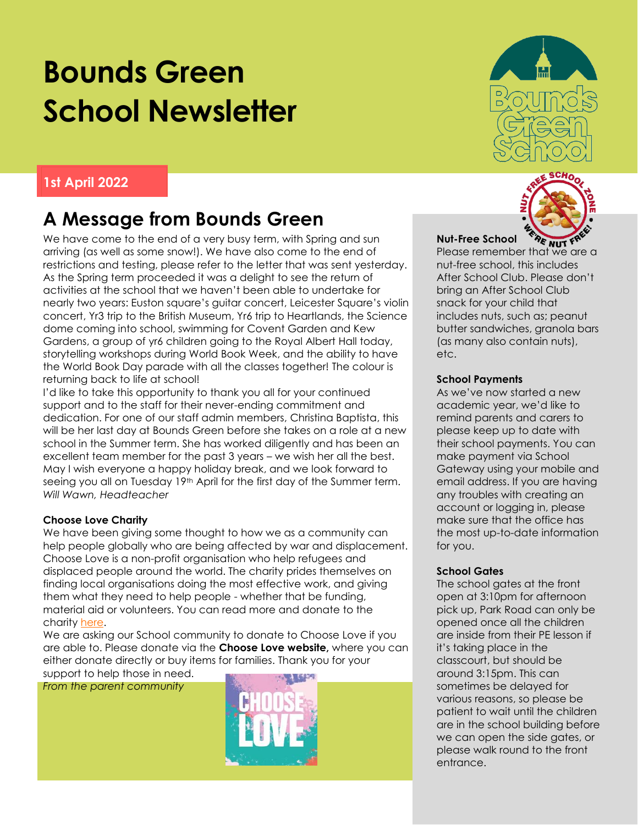# **Bounds Green School Newsletter**

## **1st April 2022**

# **A Message from Bounds Green**

We have come to the end of a very busy term, with Spring and sun arriving (as well as some snow!). We have also come to the end of restrictions and testing, please refer to the letter that was sent yesterday. As the Spring term proceeded it was a delight to see the return of activities at the school that we haven't been able to undertake for nearly two years: Euston square's guitar concert, Leicester Square's violin concert, Yr3 trip to the British Museum, Yr6 trip to Heartlands, the Science dome coming into school, swimming for Covent Garden and Kew Gardens, a group of yr6 children going to the Royal Albert Hall today, storytelling workshops during World Book Week, and the ability to have the World Book Day parade with all the classes together! The colour is returning back to life at school!

I'd like to take this opportunity to thank you all for your continued support and to the staff for their never-ending commitment and dedication. For one of our staff admin members, Christina Baptista, this will be her last day at Bounds Green before she takes on a role at a new school in the Summer term. She has worked diligently and has been an excellent team member for the past 3 years – we wish her all the best. May I wish everyone a happy holiday break, and we look forward to seeing you all on Tuesday 19<sup>th</sup> April for the first day of the Summer term. *Will Wawn, Headteacher*

#### **Choose Love Charity**

We have been giving some thought to how we as a community can help people globally who are being affected by war and displacement. Choose Love is a non-profit organisation who help refugees and displaced people around the world. The charity prides themselves on finding local organisations doing the most effective work, and giving them what they need to help people - whether that be funding, material aid or volunteers. You can read more and donate to the charity [here.](https://chooselove.org/who-we-are/)

We are asking our School community to donate to Choose Love if you are able to. Please donate via the **Choose Love website,** where you can either donate directly or buy items for families. Thank you for your support to help those in need.

*From the parent community*







#### **Nut-Free School**

**Nut-Free School are wut fflexion we are a**<br>Please remember that we are a nut-free school, this includes After School Club. Please don't bring an After School Club snack for your child that includes nuts, such as; peanut butter sandwiches, granola bars (as many also contain nuts), etc.

#### **School Payments**

As we've now started a new academic year, we'd like to remind parents and carers to please keep up to date with their school payments. You can make payment via School Gateway using your mobile and email address. If you are having any troubles with creating an account or logging in, please make sure that the office has the most up-to-date information for you.

#### **School Gates**

The school gates at the front open at 3:10pm for afternoon pick up, Park Road can only be opened once all the children are inside from their PE lesson if it's taking place in the classcourt, but should be around 3:15pm. This can sometimes be delayed for various reasons, so please be patient to wait until the children are in the school building before we can open the side gates, or please walk round to the front entrance.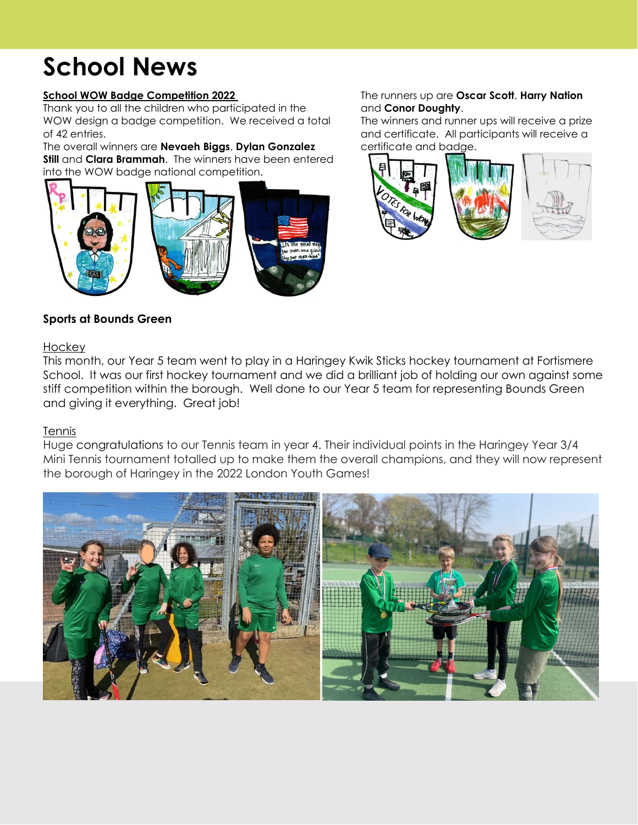# **School News**

#### **School WOW Badge Competition 2022**

Thank you to all the children who participated in the WOW design a badge competition. We received a total of 42 entries.

The overall winners are **Nevaeh Biggs**, **Dylan Gonzalez Still** and **Clara Brammah**. The winners have been entered into the WOW badge national competition.



### **Sports at Bounds Green**

### The runners up are **Oscar Scott**, **Harry Nation** and **Conor Doughty**.

The winners and runner ups will receive a prize and certificate. All participants will receive a certificate and badge.



# **Hockey**

This month, our Year 5 team went to play in a Haringey Kwik Sticks hockey tournament at Fortismere School. It was our first hockey tournament and we did a brilliant job of holding our own against some stiff competition within the borough. Well done to our Year 5 team for representing Bounds Green and giving it everything. Great job!

#### **Tennis**

Huge congratulations to our Tennis team in year 4. Their individual points in the Haringey Year 3/4 Mini Tennis tournament totalled up to make them the overall champions, and they will now represent the borough of Haringey in the 2022 London Youth Games!

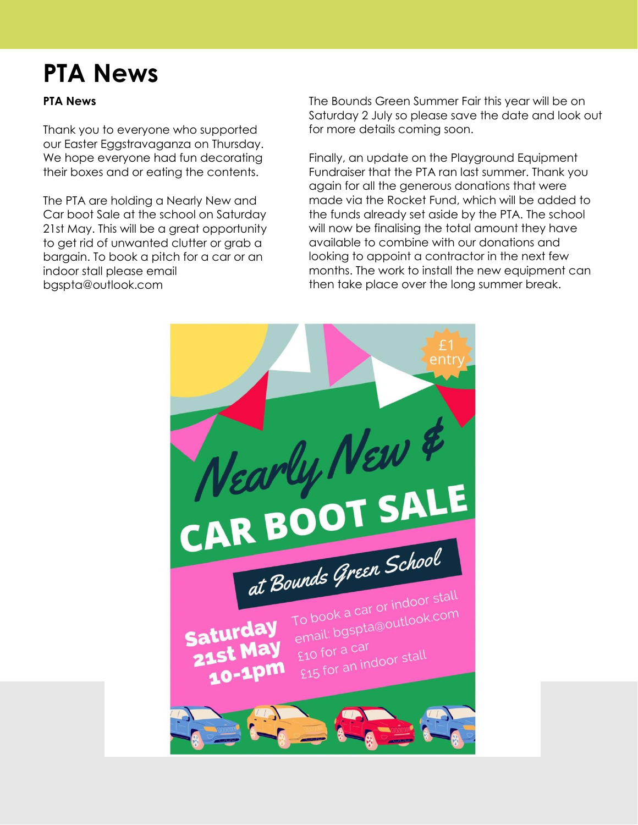# **PTA News**

### **PTA News**

Thank you to everyone who supported our Easter Eggstravaganza on Thursday. We hope everyone had fun decorating their boxes and or eating the contents.

The PTA are holding a Nearly New and Car boot Sale at the school on Saturday 21st May. This will be a great opportunity to get rid of unwanted clutter or grab a bargain. To book a pitch for a car or an indoor stall please email bgspta@outlook.com

The Bounds Green Summer Fair this year will be on Saturday 2 July so please save the date and look out for more details coming soon.

Finally, an update on the Playground Equipment Fundraiser that the PTA ran last summer. Thank you again for all the generous donations that were made via the Rocket Fund, which will be added to the funds already set aside by the PTA. The school will now be finalising the total amount they have available to combine with our donations and looking to appoint a contractor in the next few months. The work to install the new equipment can then take place over the long summer break.

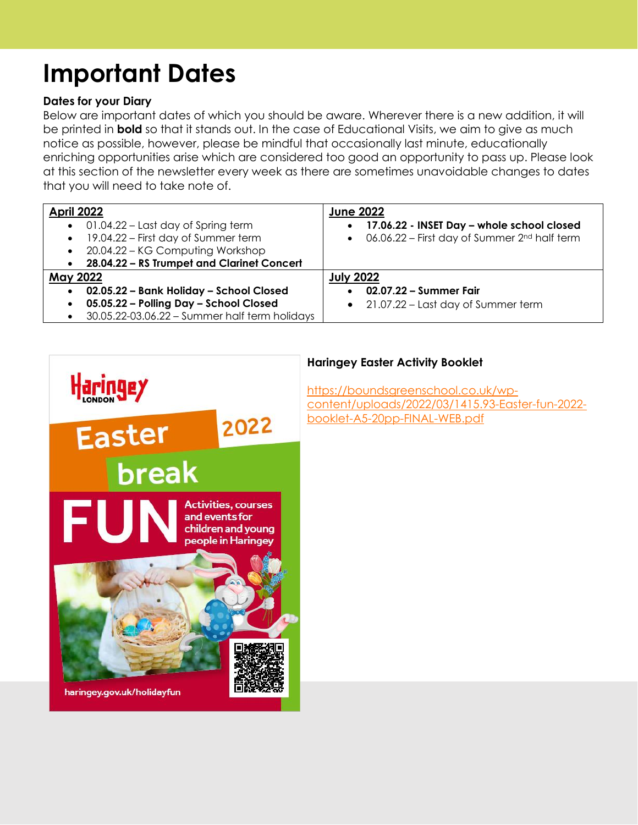# **Important Dates**

### **Dates for your Diary**

Below are important dates of which you should be aware. Wherever there is a new addition, it will be printed in **bold** so that it stands out. In the case of Educational Visits, we aim to give as much notice as possible, however, please be mindful that occasionally last minute, educationally enriching opportunities arise which are considered too good an opportunity to pass up. Please look at this section of the newsletter every week as there are sometimes unavoidable changes to dates that you will need to take note of.

| <b>April 2022</b><br>$\bullet$ 01.04.22 – Last day of Spring term<br>19.04.22 – First day of Summer term<br>$\bullet$<br>• 20.04.22 - KG Computing Workshop<br>• 28.04.22 - RS Trumpet and Clarinet Concert | <b>June 2022</b><br>17.06.22 - INSET Day - whole school closed<br>$\bullet$<br>$\bullet$ 06.06.22 – First day of Summer 2 <sup>nd</sup> half term |
|-------------------------------------------------------------------------------------------------------------------------------------------------------------------------------------------------------------|---------------------------------------------------------------------------------------------------------------------------------------------------|
| <b>May 2022</b><br>02.05.22 - Bank Holiday - School Closed<br>$\bullet$                                                                                                                                     | <b>July 2022</b><br>02.07.22 – Summer Fair                                                                                                        |
| 05.05.22 - Polling Day - School Closed<br>$\bullet$<br>$\bullet$ 30.05.22-03.06.22 - Summer half term holidays                                                                                              | 21.07.22 – Last day of Summer term<br>$\bullet$                                                                                                   |



### **Haringey Easter Activity Booklet**

[https://boundsgreenschool.co.uk/wp](https://boundsgreenschool.co.uk/wp-content/uploads/2022/03/1415.93-Easter-fun-2022-booklet-A5-20pp-FINAL-WEB.pdf)[content/uploads/2022/03/1415.93-Easter-fun-2022](https://boundsgreenschool.co.uk/wp-content/uploads/2022/03/1415.93-Easter-fun-2022-booklet-A5-20pp-FINAL-WEB.pdf) [booklet-A5-20pp-FINAL-WEB.pdf](https://boundsgreenschool.co.uk/wp-content/uploads/2022/03/1415.93-Easter-fun-2022-booklet-A5-20pp-FINAL-WEB.pdf)